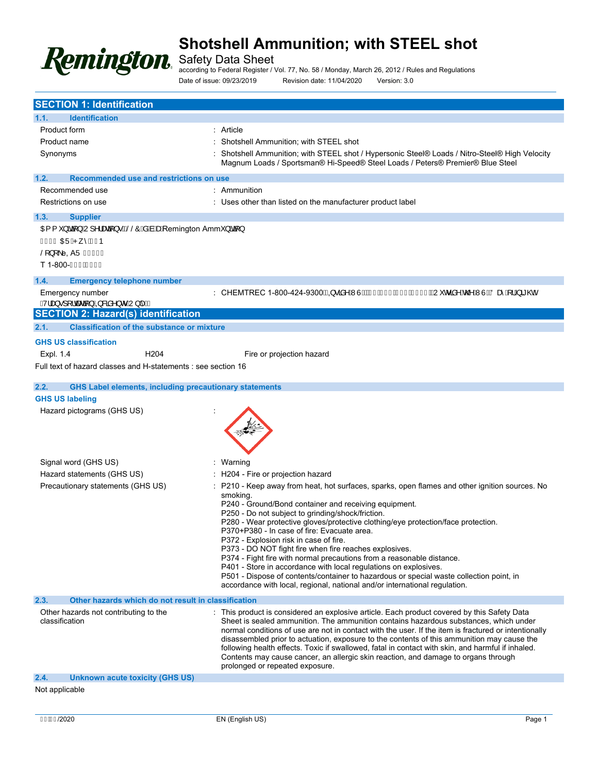

Safety Data Sheet

according to Federal Register / Vol. 77, No. 58 / Monday, March 26, 2012 / Rules and Regulations Date of issue: 09/23/2019 Revision date: 11/04/2020 Version: 3.0

| <b>SECTION 1: Identification</b>                                                                                                |                                                                                                                                                                                                                                                                                                                                                                                                                                                                                                                                                                                                                                                                                                                                                                                      |
|---------------------------------------------------------------------------------------------------------------------------------|--------------------------------------------------------------------------------------------------------------------------------------------------------------------------------------------------------------------------------------------------------------------------------------------------------------------------------------------------------------------------------------------------------------------------------------------------------------------------------------------------------------------------------------------------------------------------------------------------------------------------------------------------------------------------------------------------------------------------------------------------------------------------------------|
| <b>Identification</b><br>1.1.                                                                                                   |                                                                                                                                                                                                                                                                                                                                                                                                                                                                                                                                                                                                                                                                                                                                                                                      |
| Product form                                                                                                                    | Article                                                                                                                                                                                                                                                                                                                                                                                                                                                                                                                                                                                                                                                                                                                                                                              |
| Product name                                                                                                                    | Shotshell Ammunition; with STEEL shot                                                                                                                                                                                                                                                                                                                                                                                                                                                                                                                                                                                                                                                                                                                                                |
| Synonyms                                                                                                                        | Shotshell Ammunition; with STEEL shot / Hypersonic Steel® Loads / Nitro-Steel® High Velocity<br>Magnum Loads / Sportsman® Hi-Speed® Steel Loads / Peters® Premier® Blue Steel                                                                                                                                                                                                                                                                                                                                                                                                                                                                                                                                                                                                        |
| 1.2.<br>Recommended use and restrictions on use                                                                                 |                                                                                                                                                                                                                                                                                                                                                                                                                                                                                                                                                                                                                                                                                                                                                                                      |
| Recommended use                                                                                                                 | : Ammunition                                                                                                                                                                                                                                                                                                                                                                                                                                                                                                                                                                                                                                                                                                                                                                         |
| Restrictions on use                                                                                                             | Uses other than listed on the manufacturer product label                                                                                                                                                                                                                                                                                                                                                                                                                                                                                                                                                                                                                                                                                                                             |
| 1.3.<br><b>Supplier</b>                                                                                                         |                                                                                                                                                                                                                                                                                                                                                                                                                                                                                                                                                                                                                                                                                                                                                                                      |
| OE { } ãã[ } ÁU] ^ asa[ } • BŠŠÔÁsEa Bankemington Amm } ãã[ }<br>GÍJGO EÜÁP ೃ^ÁFÍÞ<br>Š[}[\e, AÜ Ï G€Ì Î<br>T 1-800-Î HÍ ËÎ Í Î |                                                                                                                                                                                                                                                                                                                                                                                                                                                                                                                                                                                                                                                                                                                                                                                      |
| 1.4.<br><b>Emergency telephone number</b>                                                                                       |                                                                                                                                                                                                                                                                                                                                                                                                                                                                                                                                                                                                                                                                                                                                                                                      |
| Emergency number<br>QV¦æ}∙][¦cæaã[}ÁQR&ãn^}or ÁU} ^DÁ                                                                           | : CHEMTREC 1-800-424-9300ÁQQ∙ãn^Á WÙDĎÆFËT <del>EI L</del> ǚ GÏËHÌ Ì ÏÁQU o ãn^Áo @Á WÙDÁÖæ^Á, ¦Á, ã @Á                                                                                                                                                                                                                                                                                                                                                                                                                                                                                                                                                                                                                                                                              |
| <b>SECTION 2: Hazard(s) identification</b>                                                                                      |                                                                                                                                                                                                                                                                                                                                                                                                                                                                                                                                                                                                                                                                                                                                                                                      |
| 2.1.<br><b>Classification of the substance or mixture</b>                                                                       |                                                                                                                                                                                                                                                                                                                                                                                                                                                                                                                                                                                                                                                                                                                                                                                      |
| <b>GHS US classification</b>                                                                                                    |                                                                                                                                                                                                                                                                                                                                                                                                                                                                                                                                                                                                                                                                                                                                                                                      |
| Expl. 1.4<br>H <sub>204</sub>                                                                                                   | Fire or projection hazard                                                                                                                                                                                                                                                                                                                                                                                                                                                                                                                                                                                                                                                                                                                                                            |
| Full text of hazard classes and H-statements : see section 16                                                                   |                                                                                                                                                                                                                                                                                                                                                                                                                                                                                                                                                                                                                                                                                                                                                                                      |
|                                                                                                                                 |                                                                                                                                                                                                                                                                                                                                                                                                                                                                                                                                                                                                                                                                                                                                                                                      |
| <b>GHS Label elements, including precautionary statements</b><br>2.2.<br><b>GHS US labeling</b>                                 |                                                                                                                                                                                                                                                                                                                                                                                                                                                                                                                                                                                                                                                                                                                                                                                      |
| Hazard pictograms (GHS US)                                                                                                      |                                                                                                                                                                                                                                                                                                                                                                                                                                                                                                                                                                                                                                                                                                                                                                                      |
| Signal word (GHS US)                                                                                                            | Warning                                                                                                                                                                                                                                                                                                                                                                                                                                                                                                                                                                                                                                                                                                                                                                              |
| Hazard statements (GHS US)                                                                                                      | H204 - Fire or projection hazard                                                                                                                                                                                                                                                                                                                                                                                                                                                                                                                                                                                                                                                                                                                                                     |
| Precautionary statements (GHS US)<br>Other hazards which do not result in classification                                        | P210 - Keep away from heat, hot surfaces, sparks, open flames and other ignition sources. No<br>smoking.<br>P240 - Ground/Bond container and receiving equipment.<br>P250 - Do not subject to grinding/shock/friction.<br>P280 - Wear protective gloves/protective clothing/eye protection/face protection.<br>P370+P380 - In case of fire: Evacuate area.<br>P372 - Explosion risk in case of fire.<br>P373 - DO NOT fight fire when fire reaches explosives.<br>P374 - Fight fire with normal precautions from a reasonable distance.<br>P401 - Store in accordance with local regulations on explosives.<br>P501 - Dispose of contents/container to hazardous or special waste collection point, in<br>accordance with local, regional, national and/or international regulation. |
| 2.3.                                                                                                                            |                                                                                                                                                                                                                                                                                                                                                                                                                                                                                                                                                                                                                                                                                                                                                                                      |
| Other hazards not contributing to the<br>classification                                                                         | This product is considered an explosive article. Each product covered by this Safety Data<br>Sheet is sealed ammunition. The ammunition contains hazardous substances, which under<br>normal conditions of use are not in contact with the user. If the item is fractured or intentionally<br>disassembled prior to actuation, exposure to the contents of this ammunition may cause the<br>following health effects. Toxic if swallowed, fatal in contact with skin, and harmful if inhaled.<br>Contents may cause cancer, an allergic skin reaction, and damage to organs through<br>prolonged or repeated exposure.                                                                                                                                                               |
| 2.4.<br><b>Unknown acute toxicity (GHS US)</b>                                                                                  |                                                                                                                                                                                                                                                                                                                                                                                                                                                                                                                                                                                                                                                                                                                                                                                      |
| Not applicable                                                                                                                  |                                                                                                                                                                                                                                                                                                                                                                                                                                                                                                                                                                                                                                                                                                                                                                                      |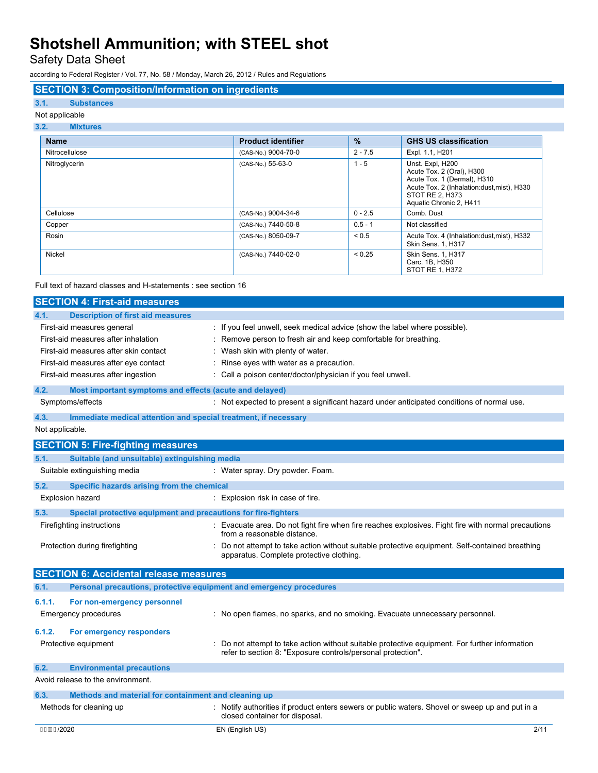Safety Data Sheet

according to Federal Register / Vol. 77, No. 58 / Monday, March 26, 2012 / Rules and Regulations

## **SECTION 3: Composition/Information on ingredients**

## **3.1. Substances**

## Not applicable

### **3.2. Mixtures**

| <b>Name</b>    | <b>Product identifier</b> | $\frac{9}{6}$ | <b>GHS US classification</b>                                                                                                                                             |
|----------------|---------------------------|---------------|--------------------------------------------------------------------------------------------------------------------------------------------------------------------------|
| Nitrocellulose | (CAS-No.) 9004-70-0       | $2 - 7.5$     | Expl. 1.1, H201                                                                                                                                                          |
| Nitroglycerin  | (CAS-No.) 55-63-0         | $1 - 5$       | Unst. Expl, H200<br>Acute Tox. 2 (Oral), H300<br>Acute Tox. 1 (Dermal), H310<br>Acute Tox. 2 (Inhalation:dust, mist), H330<br>STOT RE 2, H373<br>Aquatic Chronic 2, H411 |
| Cellulose      | (CAS-No.) 9004-34-6       | $0 - 2.5$     | Comb. Dust                                                                                                                                                               |
| Copper         | (CAS-No.) 7440-50-8       | $0.5 - 1$     | Not classified                                                                                                                                                           |
| Rosin          | (CAS-No.) 8050-09-7       | ${}_{0.5}$    | Acute Tox. 4 (Inhalation:dust, mist), H332<br>Skin Sens. 1, H317                                                                                                         |
| <b>Nickel</b>  | (CAS-No.) 7440-02-0       | < 0.25        | Skin Sens. 1, H317<br>Carc. 1B, H350<br>STOT RE 1, H372                                                                                                                  |

Full text of hazard classes and H-statements : see section 16

| <b>SECTION 4: First-aid measures</b>                                                                                                                                                     |                                                                                                                                                                                                                                                                                      |
|------------------------------------------------------------------------------------------------------------------------------------------------------------------------------------------|--------------------------------------------------------------------------------------------------------------------------------------------------------------------------------------------------------------------------------------------------------------------------------------|
| <b>Description of first aid measures</b><br>4.1.                                                                                                                                         |                                                                                                                                                                                                                                                                                      |
| First-aid measures general<br>First-aid measures after inhalation<br>First-aid measures after skin contact<br>First-aid measures after eye contact<br>First-aid measures after ingestion | If you feel unwell, seek medical advice (show the label where possible).<br>Remove person to fresh air and keep comfortable for breathing.<br>Wash skin with plenty of water.<br>Rinse eyes with water as a precaution.<br>Call a poison center/doctor/physician if you feel unwell. |
| 4.2.<br>Most important symptoms and effects (acute and delayed)                                                                                                                          |                                                                                                                                                                                                                                                                                      |
| Symptoms/effects                                                                                                                                                                         | : Not expected to present a significant hazard under anticipated conditions of normal use.                                                                                                                                                                                           |
| Immediate medical attention and special treatment, if necessary<br>4.3.                                                                                                                  |                                                                                                                                                                                                                                                                                      |
| Not applicable.                                                                                                                                                                          |                                                                                                                                                                                                                                                                                      |
| <b>SECTION 5: Fire-fighting measures</b>                                                                                                                                                 |                                                                                                                                                                                                                                                                                      |
| Suitable (and unsuitable) extinguishing media<br>5.1.                                                                                                                                    |                                                                                                                                                                                                                                                                                      |
| Suitable extinguishing media                                                                                                                                                             | : Water spray. Dry powder. Foam.                                                                                                                                                                                                                                                     |
| 5.2.<br>Specific hazards arising from the chemical                                                                                                                                       |                                                                                                                                                                                                                                                                                      |
| Explosion hazard                                                                                                                                                                         | : Explosion risk in case of fire.                                                                                                                                                                                                                                                    |
| 5.3.<br>Special protective equipment and precautions for fire-fighters                                                                                                                   |                                                                                                                                                                                                                                                                                      |
| Firefighting instructions                                                                                                                                                                | : Evacuate area. Do not fight fire when fire reaches explosives. Fight fire with normal precautions<br>from a reasonable distance.                                                                                                                                                   |
| Protection during firefighting                                                                                                                                                           | : Do not attempt to take action without suitable protective equipment. Self-contained breathing<br>apparatus. Complete protective clothing.                                                                                                                                          |
| <b>SECTION 6: Accidental release measures</b>                                                                                                                                            |                                                                                                                                                                                                                                                                                      |
| 6.1.                                                                                                                                                                                     | Personal precautions, protective equipment and emergency procedures                                                                                                                                                                                                                  |
| 6.1.1.<br>For non-emergency personnel                                                                                                                                                    |                                                                                                                                                                                                                                                                                      |
| <b>Emergency procedures</b>                                                                                                                                                              | : No open flames, no sparks, and no smoking. Evacuate unnecessary personnel.                                                                                                                                                                                                         |
| 6.1.2.<br>For emergency responders                                                                                                                                                       |                                                                                                                                                                                                                                                                                      |
| Protective equipment                                                                                                                                                                     | Do not attempt to take action without suitable protective equipment. For further information<br>refer to section 8: "Exposure controls/personal protection".                                                                                                                         |
| 6.2.<br><b>Environmental precautions</b>                                                                                                                                                 |                                                                                                                                                                                                                                                                                      |
| Avoid release to the environment.                                                                                                                                                        |                                                                                                                                                                                                                                                                                      |
| Methods and material for containment and cleaning up<br>6.3.                                                                                                                             |                                                                                                                                                                                                                                                                                      |
| Methods for cleaning up                                                                                                                                                                  | : Notify authorities if product enters sewers or public waters. Shovel or sweep up and put in a<br>closed container for disposal.                                                                                                                                                    |
| FFBE /2020                                                                                                                                                                               | 2/11<br>EN (English US)                                                                                                                                                                                                                                                              |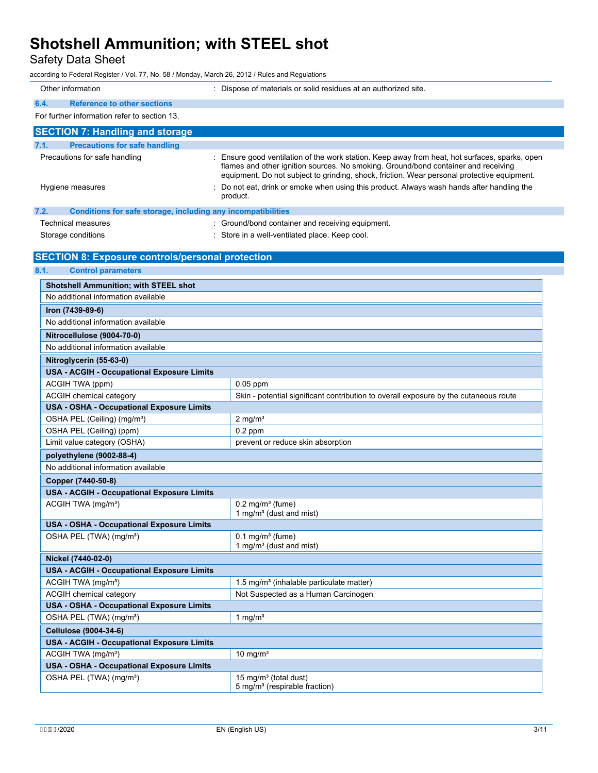Safety Data Sheet

according to Federal Register / Vol. 77, No. 58 / Monday, March 26, 2012 / Rules and Regulations

| Other information                                                    | : Dispose of materials or solid residues at an authorized site.                                                                                                                                                                                                                   |
|----------------------------------------------------------------------|-----------------------------------------------------------------------------------------------------------------------------------------------------------------------------------------------------------------------------------------------------------------------------------|
| 6.4.<br><b>Reference to other sections</b>                           |                                                                                                                                                                                                                                                                                   |
| For further information refer to section 13.                         |                                                                                                                                                                                                                                                                                   |
| <b>SECTION 7: Handling and storage</b>                               |                                                                                                                                                                                                                                                                                   |
| <b>Precautions for safe handling</b><br>7.1.                         |                                                                                                                                                                                                                                                                                   |
| Precautions for safe handling                                        | Ensure good ventilation of the work station. Keep away from heat, hot surfaces, sparks, open<br>flames and other ignition sources. No smoking. Ground/bond container and receiving<br>equipment. Do not subject to grinding, shock, friction. Wear personal protective equipment. |
| Hygiene measures                                                     | Do not eat, drink or smoke when using this product. Always wash hands after handling the<br>product.                                                                                                                                                                              |
| 7.2.<br>Conditions for safe storage, including any incompatibilities |                                                                                                                                                                                                                                                                                   |
| <b>Technical measures</b>                                            | : Ground/bond container and receiving equipment.                                                                                                                                                                                                                                  |
| Storage conditions                                                   | Store in a well-ventilated place. Keep cool.                                                                                                                                                                                                                                      |
|                                                                      |                                                                                                                                                                                                                                                                                   |
| <b>SECTION 8: Exposure controls/personal protection</b>              |                                                                                                                                                                                                                                                                                   |
| 8.1.<br><b>Control parameters</b>                                    |                                                                                                                                                                                                                                                                                   |
| <b>Shotshell Ammunition; with STEEL shot</b>                         |                                                                                                                                                                                                                                                                                   |
| No additional information available                                  |                                                                                                                                                                                                                                                                                   |
| Iron (7439-89-6)                                                     |                                                                                                                                                                                                                                                                                   |
| No additional information available                                  |                                                                                                                                                                                                                                                                                   |
| Nitrocellulose (9004-70-0)                                           |                                                                                                                                                                                                                                                                                   |
| No additional information available                                  |                                                                                                                                                                                                                                                                                   |
| Nitroglycerin (55-63-0)                                              |                                                                                                                                                                                                                                                                                   |
| <b>USA - ACGIH - Occupational Exposure Limits</b>                    |                                                                                                                                                                                                                                                                                   |
| ACGIH TWA (ppm)                                                      | $0.05$ ppm                                                                                                                                                                                                                                                                        |
| ACGIH chemical category                                              | Skin - potential significant contribution to overall exposure by the cutaneous route                                                                                                                                                                                              |
| <b>USA - OSHA - Occupational Exposure Limits</b>                     |                                                                                                                                                                                                                                                                                   |
| OSHA PEL (Ceiling) (mg/m <sup>3</sup> )                              | $2$ mg/m <sup>3</sup>                                                                                                                                                                                                                                                             |
| OSHA PEL (Ceiling) (ppm)                                             | $0.2$ ppm                                                                                                                                                                                                                                                                         |
| Limit value category (OSHA)                                          | prevent or reduce skin absorption                                                                                                                                                                                                                                                 |
| polyethylene (9002-88-4)                                             |                                                                                                                                                                                                                                                                                   |
| No additional information available                                  |                                                                                                                                                                                                                                                                                   |
| Copper (7440-50-8)                                                   |                                                                                                                                                                                                                                                                                   |
| <b>USA - ACGIH - Occupational Exposure Limits</b>                    |                                                                                                                                                                                                                                                                                   |
| ACGIH TWA (mg/m <sup>3</sup> )                                       | $0.2$ mg/m <sup>3</sup> (fume)<br>1 mg/m <sup>3</sup> (dust and mist)                                                                                                                                                                                                             |
| <b>USA - OSHA - Occupational Exposure Limits</b>                     |                                                                                                                                                                                                                                                                                   |
| OSHA PEL (TWA) (mg/m <sup>3</sup> )                                  | $0.1$ mg/m <sup>3</sup> (fume)<br>1 mg/m <sup>3</sup> (dust and mist)                                                                                                                                                                                                             |
| Nickel (7440-02-0)                                                   |                                                                                                                                                                                                                                                                                   |
| <b>USA - ACGIH - Occupational Exposure Limits</b>                    |                                                                                                                                                                                                                                                                                   |
| ACGIH TWA (mg/m <sup>3</sup> )                                       | 1.5 mg/m <sup>3</sup> (inhalable particulate matter)                                                                                                                                                                                                                              |
| ACGIH chemical category                                              | Not Suspected as a Human Carcinogen                                                                                                                                                                                                                                               |
| <b>USA - OSHA - Occupational Exposure Limits</b>                     |                                                                                                                                                                                                                                                                                   |
| OSHA PEL (TWA) (mg/m <sup>3</sup> )                                  | 1 mg/ $m3$                                                                                                                                                                                                                                                                        |
| Cellulose (9004-34-6)                                                |                                                                                                                                                                                                                                                                                   |
| <b>USA - ACGIH - Occupational Exposure Limits</b>                    |                                                                                                                                                                                                                                                                                   |
| ACGIH TWA (mg/m <sup>3</sup> )                                       | 10 mg/ $m3$                                                                                                                                                                                                                                                                       |
| USA - OSHA - Occupational Exposure Limits                            |                                                                                                                                                                                                                                                                                   |
| OSHA PEL (TWA) (mg/m <sup>3</sup> )                                  | 15 mg/m <sup>3</sup> (total dust)<br>5 mg/m <sup>3</sup> (respirable fraction)                                                                                                                                                                                                    |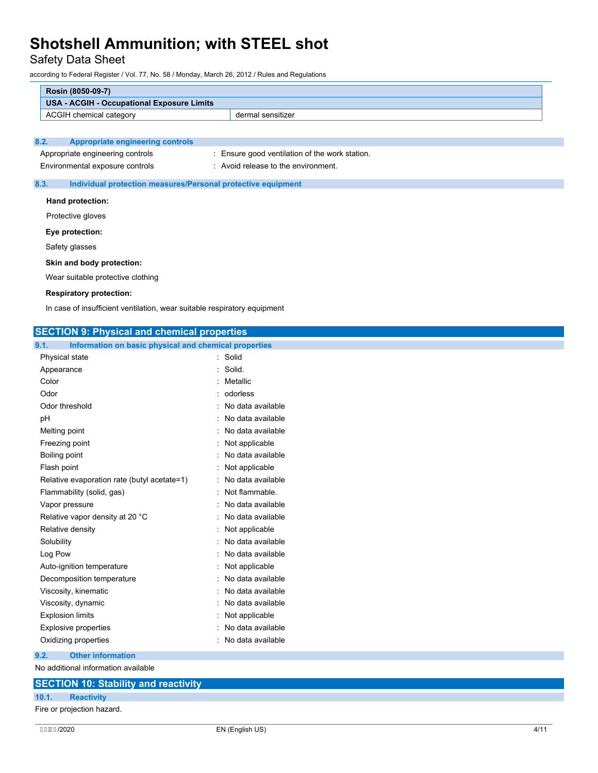Safety Data Sheet

according to Federal Register / Vol. 77, No. 58 / Monday, March 26, 2012 / Rules and Regulations

| Rosin (8050-09-7)                                                        |                                                              |  |
|--------------------------------------------------------------------------|--------------------------------------------------------------|--|
| <b>USA - ACGIH - Occupational Exposure Limits</b>                        |                                                              |  |
| ACGIH chemical category                                                  | dermal sensitizer                                            |  |
|                                                                          |                                                              |  |
| 8.2.<br><b>Appropriate engineering controls</b>                          |                                                              |  |
| Appropriate engineering controls                                         | : Ensure good ventilation of the work station.               |  |
| Environmental exposure controls                                          | : Avoid release to the environment.                          |  |
| 8.3.                                                                     | Individual protection measures/Personal protective equipment |  |
| Hand protection:                                                         |                                                              |  |
| Protective gloves                                                        |                                                              |  |
|                                                                          |                                                              |  |
| Eye protection:                                                          |                                                              |  |
| Safety glasses                                                           |                                                              |  |
| Skin and body protection:                                                |                                                              |  |
| Wear suitable protective clothing                                        |                                                              |  |
| <b>Respiratory protection:</b>                                           |                                                              |  |
| In case of insufficient ventilation, wear suitable respiratory equipment |                                                              |  |
|                                                                          |                                                              |  |
| <b>SECTION 9: Physical and chemical properties</b>                       |                                                              |  |
| 9.1.<br>Information on basic physical and chemical properties            |                                                              |  |
| Physical state                                                           | : Solid                                                      |  |
| Appearance                                                               | : Solid.                                                     |  |
| Color                                                                    | : Metallic                                                   |  |
| Odor                                                                     | : odorless                                                   |  |
| الملد والمدمولة وتمامى                                                   | الملطان والمستحقق والمستحدث والمناوي                         |  |

| Odor threshold                              | : No data available       |
|---------------------------------------------|---------------------------|
| pН                                          | : No data available       |
| Melting point                               | : No data available       |
| Freezing point                              | $:$ Not applicable        |
| Boiling point                               | : No data available       |
| Flash point                                 | $:$ Not applicable        |
| Relative evaporation rate (butyl acetate=1) | : No data available       |
| Flammability (solid, gas)                   | : Not flammable.          |
| $\frac{1}{2}$                               | الملمانين والملماء المللي |

| Vapor pressure                  | : No data available |
|---------------------------------|---------------------|
| Relative vapor density at 20 °C | : No data available |
| Relative density                | : Not applicable    |
| Solubility                      | : No data available |
| Log Pow                         | : No data available |
| Auto-ignition temperature       | : Not applicable    |
| Decomposition temperature       | : No data available |
| Viscosity, kinematic            | : No data available |
| Viscosity, dynamic              | : No data available |
| <b>Explosion limits</b>         | $:$ Not applicable  |
| <b>Explosive properties</b>     | : No data available |
| Oxidizing properties            | : No data available |

### **9.2. Other information**

No additional information available

## **SECTION 10: Stability and reactivity 10.1. Reactivity** Fire or projection hazard.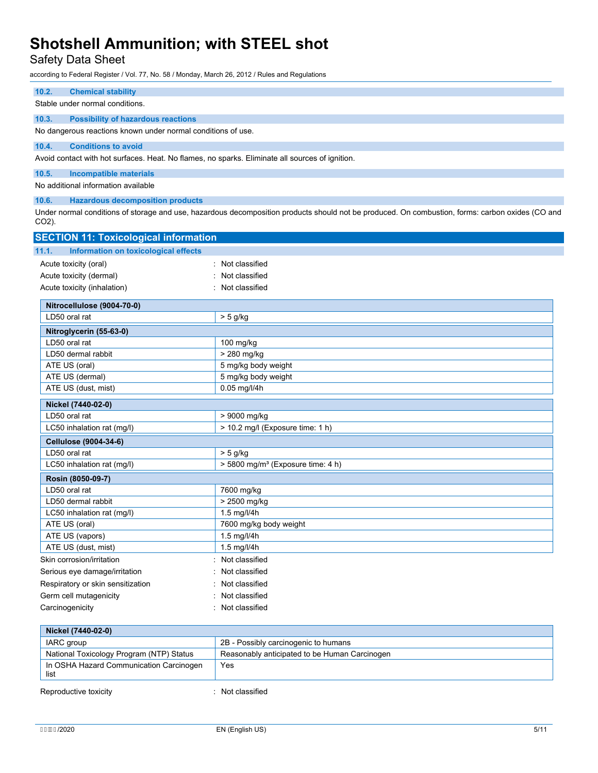## Safety Data Sheet

according to Federal Register / Vol. 77, No. 58 / Monday, March 26, 2012 / Rules and Regulations

## **10.2. Chemical stability** Stable under normal conditions. **10.3. Possibility of hazardous reactions** No dangerous reactions known under normal conditions of use. **10.4. Conditions to avoid** Avoid contact with hot surfaces. Heat. No flames, no sparks. Eliminate all sources of ignition. **10.5. Incompatible materials** No additional information available **10.6. Hazardous decomposition products** Under normal conditions of storage and use, hazardous decomposition products should not be produced. On combustion, forms: carbon oxides (CO and CO2). **SECTION 11: Toxicological information 11.1. Information on toxicological effects** Acute toxicity (oral) **interest and the Contract Contract Contract Contract Contract Contract Contract Contract Contract Contract Contract Contract Contract Contract Contract Contract Contract Contract Contract Contract Co** Acute toxicity (dermal) **Example 2** Contract 2 Contract 2 Contract 2 Contract 2 Contract 2 Contract 2 Contract 2 Contract 2 Contract 2 Contract 2 Contract 2 Contract 2 Contract 2 Contract 2 Contract 2 Contract 2 Contract 2 Acute toxicity (inhalation) **induces** : Not classified **Nitrocellulose (9004-70-0)** LD50 oral rat  $\vert$  > 5 g/kg **Nitroglycerin (55-63-0)** LD50 oral rat 100 mg/kg LD50 dermal rabbit  $\vert$  > 280 mg/kg ATE US (oral) **5 mg/kg body weight** ATE US (dermal) and the state of the state of the state of the state of the state of the state of the state of the state of the state of the state of the state of the state of the state of the state of the state of the sta ATE US (dust, mist) 0.05 mg/l/4h **Nickel (7440-02-0)** LD50 oral rat  $\vert$  > 9000 mg/kg LC50 inhalation rat  $(mg/l)$   $> 10.2$  mg/l (Exposure time: 1 h) **Cellulose (9004-34-6)**  $\sqrt{1 \text{ D50}}$  oral rat  $>$  5 g/kg LC50 inhalation rat (mg/l)  $\vert$  > 5800 mg/m<sup>3</sup> (Exposure time: 4 h)

| LC50 inhalation rat (mg/l)        | $>$ 5800 mg/m <sup>3</sup> (Exposure time: 4 h) |
|-----------------------------------|-------------------------------------------------|
| Rosin (8050-09-7)                 |                                                 |
| LD50 oral rat                     | 7600 mg/kg                                      |
| LD50 dermal rabbit                | > 2500 mg/kg                                    |
| LC50 inhalation rat (mg/l)        | $1.5$ mg/l/4h                                   |
| ATE US (oral)                     | 7600 mg/kg body weight                          |
| ATE US (vapors)                   | $1.5$ mg/l/4h                                   |
| ATE US (dust, mist)               | $1.5$ mg/l/4h                                   |
| Skin corrosion/irritation         | : Not classified                                |
| Serious eye damage/irritation     | : Not classified                                |
| Respiratory or skin sensitization | : Not classified                                |
| Germ cell mutagenicity            | : Not classified                                |
| Carcinogenicity                   | : Not classified                                |

| Nickel (7440-02-0)                              |                                               |
|-------------------------------------------------|-----------------------------------------------|
| IARC group                                      | 2B - Possibly carcinogenic to humans          |
| National Toxicology Program (NTP) Status        | Reasonably anticipated to be Human Carcinogen |
| In OSHA Hazard Communication Carcinogen<br>list | Yes                                           |
| Reproductive toxicity                           | Not classified                                |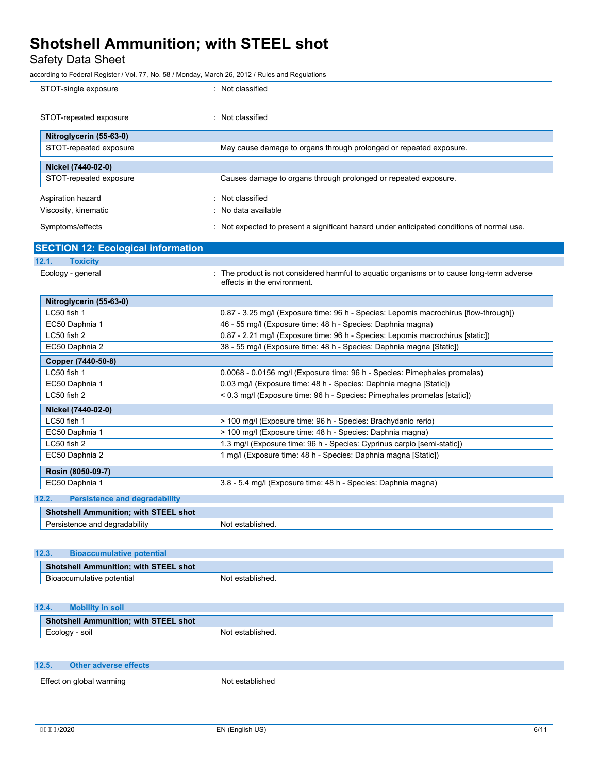Safety Data Sheet

according to Federal Register / Vol. 77, No. 58 / Monday, March 26, 2012 / Rules and Regulations

| STOT-single exposure                          | : Not classified                                                                                                          |
|-----------------------------------------------|---------------------------------------------------------------------------------------------------------------------------|
| STOT-repeated exposure                        | : Not classified                                                                                                          |
| Nitroglycerin (55-63-0)                       |                                                                                                                           |
| STOT-repeated exposure                        | May cause damage to organs through prolonged or repeated exposure.                                                        |
| Nickel (7440-02-0)                            |                                                                                                                           |
| STOT-repeated exposure                        | Causes damage to organs through prolonged or repeated exposure.                                                           |
| Aspiration hazard                             | : Not classified                                                                                                          |
| Viscosity, kinematic                          | No data available                                                                                                         |
| Symptoms/effects                              | : Not expected to present a significant hazard under anticipated conditions of normal use.                                |
| <b>SECTION 12: Ecological information</b>     |                                                                                                                           |
| 12.1.<br><b>Toxicity</b>                      |                                                                                                                           |
| Ecology - general                             | : The product is not considered harmful to aguatic organisms or to cause long-term adverse<br>effects in the environment. |
| Nitroglycerin (55-63-0)                       |                                                                                                                           |
| LC50 fish 1                                   | 0.87 - 3.25 mg/l (Exposure time: 96 h - Species: Lepomis macrochirus [flow-through])                                      |
| EC50 Daphnia 1                                | 46 - 55 mg/l (Exposure time: 48 h - Species: Daphnia magna)                                                               |
| LC50 fish 2                                   | 0.87 - 2.21 mg/l (Exposure time: 96 h - Species: Lepomis macrochirus [static])                                            |
| EC50 Daphnia 2                                | 38 - 55 mg/l (Exposure time: 48 h - Species: Daphnia magna [Static])                                                      |
| Copper (7440-50-8)                            |                                                                                                                           |
| LC50 fish 1                                   | 0.0068 - 0.0156 mg/l (Exposure time: 96 h - Species: Pimephales promelas)                                                 |
| EC50 Daphnia 1                                | 0.03 mg/l (Exposure time: 48 h - Species: Daphnia magna [Static])                                                         |
| LC50 fish 2                                   | < 0.3 mg/l (Exposure time: 96 h - Species: Pimephales promelas [static])                                                  |
| Nickel (7440-02-0)                            |                                                                                                                           |
| LC50 fish 1                                   | > 100 mg/l (Exposure time: 96 h - Species: Brachydanio rerio)                                                             |
| EC50 Daphnia 1                                | > 100 mg/l (Exposure time: 48 h - Species: Daphnia magna)                                                                 |
| LC50 fish 2                                   | 1.3 mg/l (Exposure time: 96 h - Species: Cyprinus carpio [semi-static])                                                   |
| EC50 Daphnia 2                                | 1 mg/l (Exposure time: 48 h - Species: Daphnia magna [Static])                                                            |
| Rosin (8050-09-7)                             |                                                                                                                           |
| EC50 Daphnia 1                                | 3.8 - 5.4 mg/l (Exposure time: 48 h - Species: Daphnia magna)                                                             |
| 12.2.<br><b>Persistence and degradability</b> |                                                                                                                           |
| <b>Shotshell Ammunition; with STEEL shot</b>  |                                                                                                                           |
| Persistence and degradability                 | Not established.                                                                                                          |
|                                               |                                                                                                                           |

| 12.3. | <b>Bioaccumulative potential</b>             |                  |
|-------|----------------------------------------------|------------------|
|       | <b>Shotshell Ammunition; with STEEL shot</b> |                  |
|       | Bioaccumulative potential                    | Not established. |

### **12.4. Mobility in soil**

| $ch$<br>with<br>. shot<br><b>Ammunition.</b><br>me<br>79 E B. |      |
|---------------------------------------------------------------|------|
| soil                                                          | ົ່   |
| $\sim$ $\sim$ $\sim$                                          | -Nic |
| - Luuiug,                                                     | ieu  |

### **12.5. Other adverse effects**

Effect on global warming Not established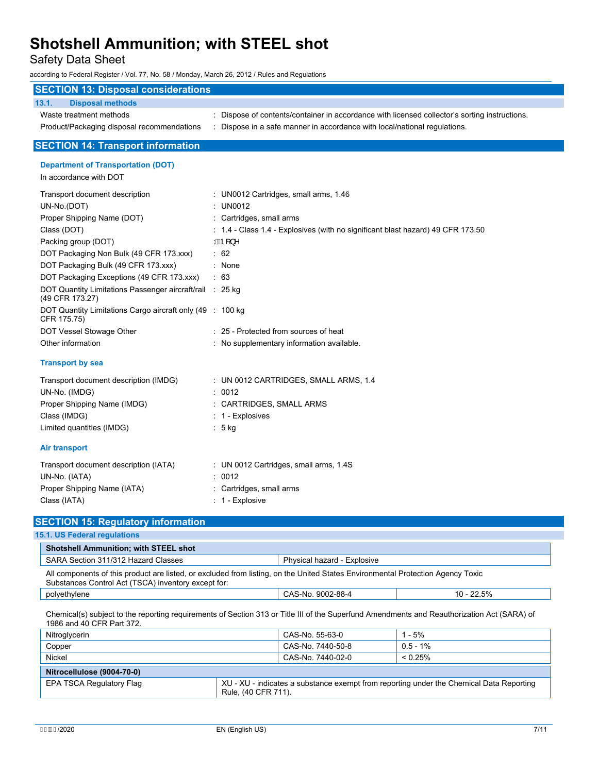Safety Data Sheet

according to Federal Register / Vol. 77, No. 58 / Monday, March 26, 2012 / Rules and Regulations

| <b>SECTION 13: Disposal considerations</b>                                  |                                                                                             |  |  |  |
|-----------------------------------------------------------------------------|---------------------------------------------------------------------------------------------|--|--|--|
| 13.1.<br><b>Disposal methods</b>                                            |                                                                                             |  |  |  |
| Waste treatment methods                                                     | Dispose of contents/container in accordance with licensed collector's sorting instructions. |  |  |  |
| Product/Packaging disposal recommendations                                  | : Dispose in a safe manner in accordance with local/national regulations.                   |  |  |  |
| <b>SECTION 14: Transport information</b>                                    |                                                                                             |  |  |  |
| <b>Department of Transportation (DOT)</b>                                   |                                                                                             |  |  |  |
| In accordance with DOT                                                      |                                                                                             |  |  |  |
| Transport document description                                              | : UN0012 Cartridges, small arms, 1.4U                                                       |  |  |  |
| UN-No.(DOT)                                                                 | : UN0012                                                                                    |  |  |  |
| Proper Shipping Name (DOT)                                                  | : Cartridges, small arms                                                                    |  |  |  |
| Class (DOT)                                                                 | $\div$ 1.4 - Class 1.4 - Explosives (with no significant blast hazard) 49 CFR 173.50        |  |  |  |
| Packing group (DOT)                                                         | $AB$ [}^                                                                                    |  |  |  |
| DOT Packaging Non Bulk (49 CFR 173.xxx)                                     | $\therefore$ 62                                                                             |  |  |  |
| DOT Packaging Bulk (49 CFR 173.xxx)                                         | : None                                                                                      |  |  |  |
| DOT Packaging Exceptions (49 CFR 173.xxx)                                   | : 63                                                                                        |  |  |  |
| DOT Quantity Limitations Passenger aircraft/rail : 25 kg<br>(49 CFR 173.27) |                                                                                             |  |  |  |
| DOT Quantity Limitations Cargo aircraft only (49 : 100 kg)<br>CFR 175.75)   |                                                                                             |  |  |  |
| DOT Vessel Stowage Other                                                    | : 25 - Protected from sources of heat                                                       |  |  |  |
| Other information                                                           | No supplementary information available.                                                     |  |  |  |
| <b>Transport by sea</b>                                                     |                                                                                             |  |  |  |
| Transport document description (IMDG)                                       | : UN 0012 CARTRIDGES, SMALL ARMS, 1.4                                                       |  |  |  |
| UN-No. (IMDG)                                                               | : 0012                                                                                      |  |  |  |
| Proper Shipping Name (IMDG)                                                 | CARTRIDGES, SMALL ARMS                                                                      |  |  |  |
| Class (IMDG)                                                                | : 1 - Explosives                                                                            |  |  |  |
| Limited quantities (IMDG)                                                   | $: 5$ kg                                                                                    |  |  |  |
| <b>Air transport</b>                                                        |                                                                                             |  |  |  |
| Transport document description (IATA)                                       | : UN 0012 Cartridges, small arms, 1.4S                                                      |  |  |  |
| UN-No. (IATA)                                                               | : 0012                                                                                      |  |  |  |
| Proper Shipping Name (IATA)                                                 | Cartridges, small arms                                                                      |  |  |  |
| Class (IATA)                                                                | $: 1$ - Explosive                                                                           |  |  |  |
| <b>SECTION 15: Regulatory information</b>                                   |                                                                                             |  |  |  |
| <b>15.1. US Federal regulations</b>                                         |                                                                                             |  |  |  |
| <b>Shotshell Ammunition; with STEEL shot</b>                                |                                                                                             |  |  |  |
| SARA Section 311/312 Hazard Classes                                         | Physical hazard - Explosive                                                                 |  |  |  |

All components of this product are listed, or excluded from listing, on the United States Environmental Protection Agency Toxic Substances Control Act (TSCA) inventory except for:

polyethylene CAS-No. 9002-88-4 10 - 22.5%

Chemical(s) subject to the reporting requirements of Section 313 or Title III of the Superfund Amendments and Reauthorization Act (SARA) of 1986 and 40 CFR Part 372.

| Nitroglycerin              | CAS-No. 55-63-0                                                                                                | $1 - 5%$    |
|----------------------------|----------------------------------------------------------------------------------------------------------------|-------------|
| Copper                     | CAS-No. 7440-50-8                                                                                              | $0.5 - 1\%$ |
| Nickel                     | CAS-No. 7440-02-0                                                                                              | $< 0.25\%$  |
| Nitrocellulose (9004-70-0) |                                                                                                                |             |
| EPA TSCA Regulatory Flag   | XU - XU - indicates a substance exempt from reporting under the Chemical Data Reporting<br>Rule, (40 CFR 711). |             |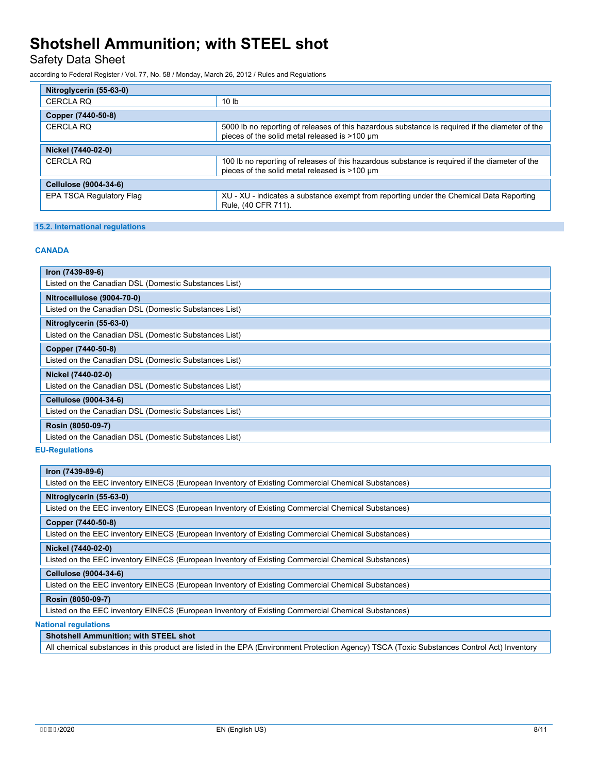Safety Data Sheet

according to Federal Register / Vol. 77, No. 58 / Monday, March 26, 2012 / Rules and Regulations

| Nitroglycerin (55-63-0)  |                                                                                                                                                  |  |
|--------------------------|--------------------------------------------------------------------------------------------------------------------------------------------------|--|
| <b>CERCLA RQ</b>         | 10 <sub>lb</sub>                                                                                                                                 |  |
| Copper (7440-50-8)       |                                                                                                                                                  |  |
| CERCLA RO                | 5000 lb no reporting of releases of this hazardous substance is required if the diameter of the<br>pieces of the solid metal released is >100 um |  |
| Nickel (7440-02-0)       |                                                                                                                                                  |  |
| CERCLA RO                | 100 lb no reporting of releases of this hazardous substance is required if the diameter of the<br>pieces of the solid metal released is >100 um  |  |
| Cellulose (9004-34-6)    |                                                                                                                                                  |  |
| EPA TSCA Regulatory Flag | XU - XU - indicates a substance exempt from reporting under the Chemical Data Reporting<br>Rule, (40 CFR 711).                                   |  |

#### **15.2. International regulations**

#### **CANADA**

| Iron (7439-89-6)                                      |
|-------------------------------------------------------|
| Listed on the Canadian DSL (Domestic Substances List) |
| Nitrocellulose (9004-70-0)                            |
| Listed on the Canadian DSL (Domestic Substances List) |
| Nitroglycerin (55-63-0)                               |
| Listed on the Canadian DSL (Domestic Substances List) |
| Copper (7440-50-8)                                    |
| Listed on the Canadian DSL (Domestic Substances List) |
| Nickel (7440-02-0)                                    |
| Listed on the Canadian DSL (Domestic Substances List) |
| Cellulose (9004-34-6)                                 |
| Listed on the Canadian DSL (Domestic Substances List) |
| Rosin (8050-09-7)                                     |
| Listed on the Canadian DSL (Domestic Substances List) |
| <b>II Dogulations</b>                                 |

#### **EU-Regulations**

#### **Iron (7439-89-6)**

Listed on the EEC inventory EINECS (European Inventory of Existing Commercial Chemical Substances)

#### **Nitroglycerin (55-63-0)**

Listed on the EEC inventory EINECS (European Inventory of Existing Commercial Chemical Substances)

### **Copper (7440-50-8)**

Listed on the EEC inventory EINECS (European Inventory of Existing Commercial Chemical Substances)

#### **Nickel (7440-02-0)**

Listed on the EEC inventory EINECS (European Inventory of Existing Commercial Chemical Substances)

## **Cellulose (9004-34-6)**

Listed on the EEC inventory EINECS (European Inventory of Existing Commercial Chemical Substances)

### **Rosin (8050-09-7)**

Listed on the EEC inventory EINECS (European Inventory of Existing Commercial Chemical Substances)

### **National regulations**

### **Shotshell Ammunition; with STEEL shot**

All chemical substances in this product are listed in the EPA (Environment Protection Agency) TSCA (Toxic Substances Control Act) Inventory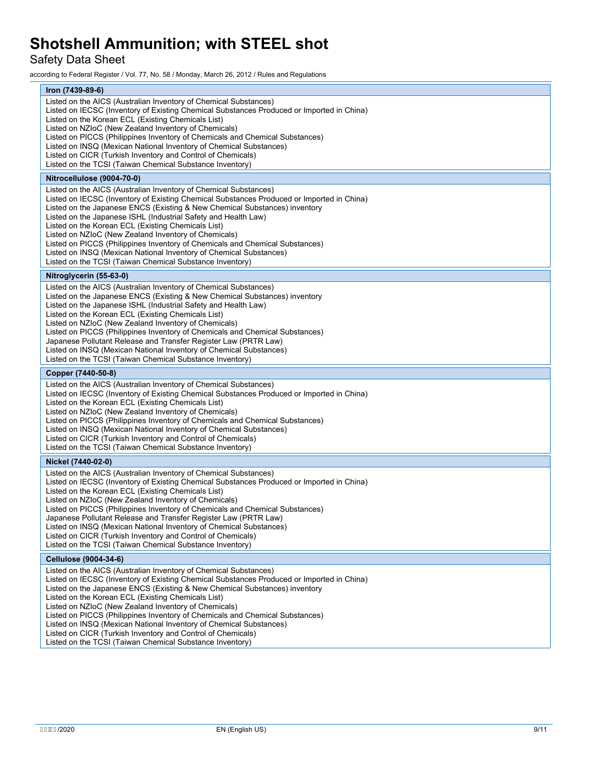## Safety Data Sheet

according to Federal Register / Vol. 77, No. 58 / Monday, March 26, 2012 / Rules and Regulations

| Iron (7439-89-6)                                                                                                                                |  |
|-------------------------------------------------------------------------------------------------------------------------------------------------|--|
| Listed on the AICS (Australian Inventory of Chemical Substances)                                                                                |  |
| Listed on IECSC (Inventory of Existing Chemical Substances Produced or Imported in China)<br>Listed on the Korean ECL (Existing Chemicals List) |  |
| Listed on NZIoC (New Zealand Inventory of Chemicals)                                                                                            |  |
| Listed on PICCS (Philippines Inventory of Chemicals and Chemical Substances)                                                                    |  |
| Listed on INSQ (Mexican National Inventory of Chemical Substances)                                                                              |  |
| Listed on CICR (Turkish Inventory and Control of Chemicals)                                                                                     |  |
| Listed on the TCSI (Taiwan Chemical Substance Inventory)                                                                                        |  |
| Nitrocellulose (9004-70-0)                                                                                                                      |  |
| Listed on the AICS (Australian Inventory of Chemical Substances)                                                                                |  |
| Listed on IECSC (Inventory of Existing Chemical Substances Produced or Imported in China)                                                       |  |
| Listed on the Japanese ENCS (Existing & New Chemical Substances) inventory                                                                      |  |
| Listed on the Japanese ISHL (Industrial Safety and Health Law)                                                                                  |  |
| Listed on the Korean ECL (Existing Chemicals List)                                                                                              |  |
| Listed on NZIoC (New Zealand Inventory of Chemicals)<br>Listed on PICCS (Philippines Inventory of Chemicals and Chemical Substances)            |  |
| Listed on INSQ (Mexican National Inventory of Chemical Substances)                                                                              |  |
| Listed on the TCSI (Taiwan Chemical Substance Inventory)                                                                                        |  |
| Nitroglycerin (55-63-0)                                                                                                                         |  |
| Listed on the AICS (Australian Inventory of Chemical Substances)                                                                                |  |
| Listed on the Japanese ENCS (Existing & New Chemical Substances) inventory                                                                      |  |
| Listed on the Japanese ISHL (Industrial Safety and Health Law)                                                                                  |  |
| Listed on the Korean ECL (Existing Chemicals List)                                                                                              |  |
| Listed on NZIoC (New Zealand Inventory of Chemicals)                                                                                            |  |
| Listed on PICCS (Philippines Inventory of Chemicals and Chemical Substances)                                                                    |  |
| Japanese Pollutant Release and Transfer Register Law (PRTR Law)<br>Listed on INSQ (Mexican National Inventory of Chemical Substances)           |  |
| Listed on the TCSI (Taiwan Chemical Substance Inventory)                                                                                        |  |
|                                                                                                                                                 |  |
|                                                                                                                                                 |  |
| Copper (7440-50-8)                                                                                                                              |  |
| Listed on the AICS (Australian Inventory of Chemical Substances)                                                                                |  |
| Listed on IECSC (Inventory of Existing Chemical Substances Produced or Imported in China)                                                       |  |
| Listed on the Korean ECL (Existing Chemicals List)<br>Listed on NZIoC (New Zealand Inventory of Chemicals)                                      |  |
| Listed on PICCS (Philippines Inventory of Chemicals and Chemical Substances)                                                                    |  |
| Listed on INSQ (Mexican National Inventory of Chemical Substances)                                                                              |  |
| Listed on CICR (Turkish Inventory and Control of Chemicals)                                                                                     |  |
| Listed on the TCSI (Taiwan Chemical Substance Inventory)                                                                                        |  |
| Nickel (7440-02-0)                                                                                                                              |  |
| Listed on the AICS (Australian Inventory of Chemical Substances)                                                                                |  |
| Listed on IECSC (Inventory of Existing Chemical Substances Produced or Imported in China)                                                       |  |
| Listed on the Korean ECL (Existing Chemicals List)                                                                                              |  |
| Listed on NZIoC (New Zealand Inventory of Chemicals)<br>Listed on PICCS (Philippines Inventory of Chemicals and Chemical Substances)            |  |
| Japanese Pollutant Release and Transfer Register Law (PRTR Law)                                                                                 |  |
| Listed on INSQ (Mexican National Inventory of Chemical Substances)                                                                              |  |
| Listed on CICR (Turkish Inventory and Control of Chemicals)                                                                                     |  |
| Listed on the TCSI (Taiwan Chemical Substance Inventory)                                                                                        |  |
| Cellulose (9004-34-6)                                                                                                                           |  |
| Listed on the AICS (Australian Inventory of Chemical Substances)                                                                                |  |
| Listed on IECSC (Inventory of Existing Chemical Substances Produced or Imported in China)                                                       |  |
| Listed on the Japanese ENCS (Existing & New Chemical Substances) inventory                                                                      |  |
| Listed on the Korean ECL (Existing Chemicals List)<br>Listed on NZIoC (New Zealand Inventory of Chemicals)                                      |  |
| Listed on PICCS (Philippines Inventory of Chemicals and Chemical Substances)                                                                    |  |
| Listed on INSQ (Mexican National Inventory of Chemical Substances)                                                                              |  |
| Listed on CICR (Turkish Inventory and Control of Chemicals)<br>Listed on the TCSI (Taiwan Chemical Substance Inventory)                         |  |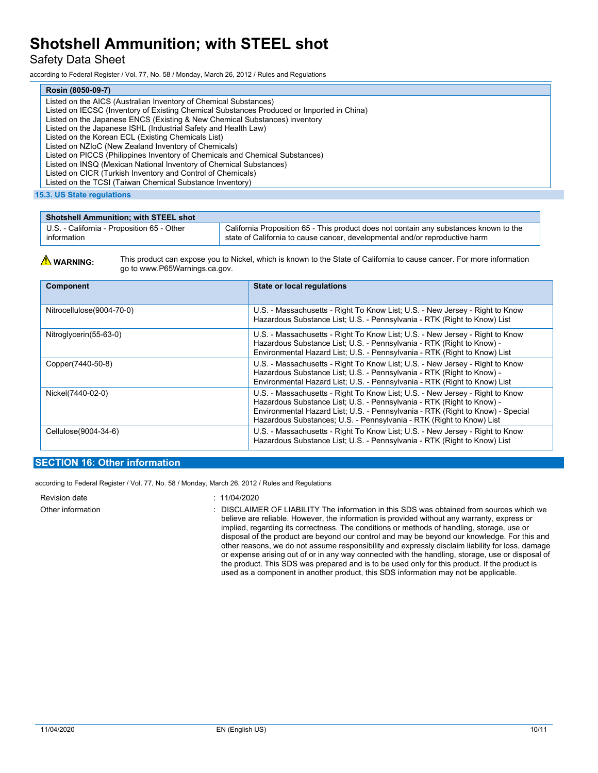## Safety Data Sheet

according to Federal Register / Vol. 77, No. 58 / Monday, March 26, 2012 / Rules and Regulations

| Rosin (8050-09-7)                                                                         |
|-------------------------------------------------------------------------------------------|
| Listed on the AICS (Australian Inventory of Chemical Substances)                          |
| Listed on IECSC (Inventory of Existing Chemical Substances Produced or Imported in China) |
| Listed on the Japanese ENCS (Existing & New Chemical Substances) inventory                |
| Listed on the Japanese ISHL (Industrial Safety and Health Law)                            |
| Listed on the Korean ECL (Existing Chemicals List)                                        |
| Listed on NZIoC (New Zealand Inventory of Chemicals)                                      |
| Listed on PICCS (Philippines Inventory of Chemicals and Chemical Substances)              |
| Listed on INSQ (Mexican National Inventory of Chemical Substances)                        |
| Listed on CICR (Turkish Inventory and Control of Chemicals)                               |
| Listed on the TCSI (Taiwan Chemical Substance Inventory)                                  |

**15.3. US State regulations**

| <b>Shotshell Ammunition; with STEEL shot</b> |                                                                                       |
|----------------------------------------------|---------------------------------------------------------------------------------------|
| U.S. - California - Proposition 65 - Other   | California Proposition 65 - This product does not contain any substances known to the |
| information                                  | state of California to cause cancer, developmental and/or reproductive harm           |



| Component                 | State or local regulations                                                                                                                                                                                                                                                                                      |
|---------------------------|-----------------------------------------------------------------------------------------------------------------------------------------------------------------------------------------------------------------------------------------------------------------------------------------------------------------|
| Nitrocellulose(9004-70-0) | U.S. - Massachusetts - Right To Know List; U.S. - New Jersey - Right to Know<br>Hazardous Substance List: U.S. - Pennsylvania - RTK (Right to Know) List                                                                                                                                                        |
| Nitroglycerin(55-63-0)    | U.S. - Massachusetts - Right To Know List; U.S. - New Jersey - Right to Know<br>Hazardous Substance List; U.S. - Pennsylvania - RTK (Right to Know) -<br>Environmental Hazard List; U.S. - Pennsylvania - RTK (Right to Know) List                                                                              |
| Copper(7440-50-8)         | U.S. - Massachusetts - Right To Know List: U.S. - New Jersey - Right to Know<br>Hazardous Substance List; U.S. - Pennsylvania - RTK (Right to Know) -<br>Environmental Hazard List; U.S. - Pennsylvania - RTK (Right to Know) List                                                                              |
| Nickel(7440-02-0)         | U.S. - Massachusetts - Right To Know List: U.S. - New Jersey - Right to Know<br>Hazardous Substance List: U.S. - Pennsylvania - RTK (Right to Know) -<br>Environmental Hazard List; U.S. - Pennsylvania - RTK (Right to Know) - Special<br>Hazardous Substances: U.S. - Pennsylvania - RTK (Right to Know) List |
| Cellulose(9004-34-6)      | U.S. - Massachusetts - Right To Know List; U.S. - New Jersey - Right to Know<br>Hazardous Substance List; U.S. - Pennsylvania - RTK (Right to Know) List                                                                                                                                                        |

### **SECTION 16: Other information**

according to Federal Register / Vol. 77, No. 58 / Monday, March 26, 2012 / Rules and Regulations

Revision date : 11/04/2020

Other information : DISCLAIMER OF LIABILITY The information in this SDS was obtained from sources which we believe are reliable. However, the information is provided without any warranty, express or implied, regarding its correctness. The conditions or methods of handling, storage, use or disposal of the product are beyond our control and may be beyond our knowledge. For this and other reasons, we do not assume responsibility and expressly disclaim liability for loss, damage or expense arising out of or in any way connected with the handling, storage, use or disposal of the product. This SDS was prepared and is to be used only for this product. If the product is used as a component in another product, this SDS information may not be applicable.